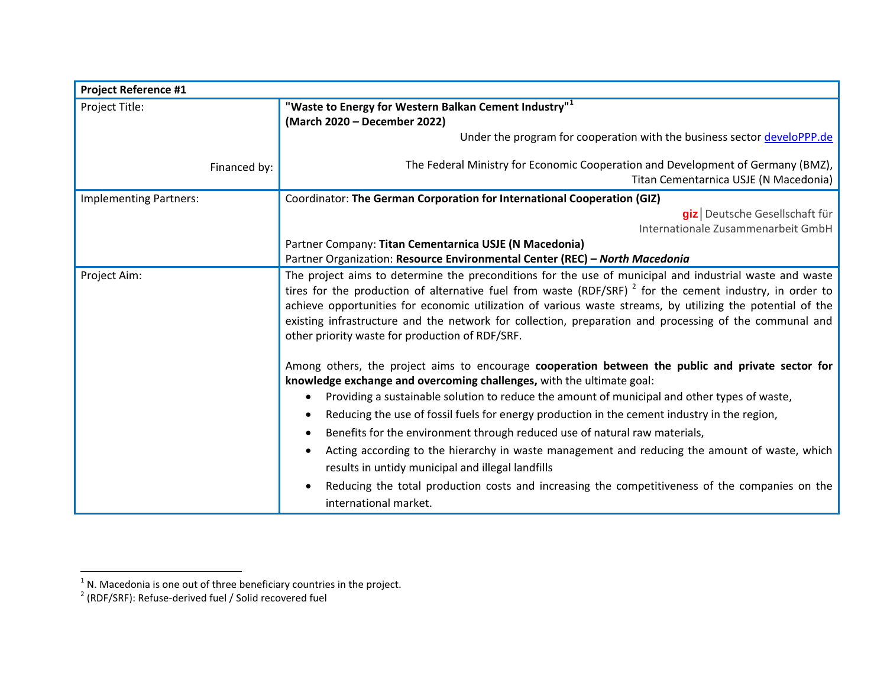| <b>Project Reference #1</b>   |                                                                                                                                                                                                                                                                                                                                                                                                                                                                                                   |
|-------------------------------|---------------------------------------------------------------------------------------------------------------------------------------------------------------------------------------------------------------------------------------------------------------------------------------------------------------------------------------------------------------------------------------------------------------------------------------------------------------------------------------------------|
| Project Title:                | "Waste to Energy for Western Balkan Cement Industry" <sup>1</sup>                                                                                                                                                                                                                                                                                                                                                                                                                                 |
|                               | (March 2020 - December 2022)                                                                                                                                                                                                                                                                                                                                                                                                                                                                      |
|                               | Under the program for cooperation with the business sector develoPPP.de                                                                                                                                                                                                                                                                                                                                                                                                                           |
| Financed by:                  | The Federal Ministry for Economic Cooperation and Development of Germany (BMZ),                                                                                                                                                                                                                                                                                                                                                                                                                   |
|                               | Titan Cementarnica USJE (N Macedonia)                                                                                                                                                                                                                                                                                                                                                                                                                                                             |
| <b>Implementing Partners:</b> | Coordinator: The German Corporation for International Cooperation (GIZ)                                                                                                                                                                                                                                                                                                                                                                                                                           |
|                               | giz Deutsche Gesellschaft für                                                                                                                                                                                                                                                                                                                                                                                                                                                                     |
|                               | Internationale Zusammenarbeit GmbH                                                                                                                                                                                                                                                                                                                                                                                                                                                                |
|                               | Partner Company: Titan Cementarnica USJE (N Macedonia)                                                                                                                                                                                                                                                                                                                                                                                                                                            |
|                               | Partner Organization: Resource Environmental Center (REC) - North Macedonia                                                                                                                                                                                                                                                                                                                                                                                                                       |
| Project Aim:                  | The project aims to determine the preconditions for the use of municipal and industrial waste and waste<br>tires for the production of alternative fuel from waste (RDF/SRF) $^2$ for the cement industry, in order to<br>achieve opportunities for economic utilization of various waste streams, by utilizing the potential of the<br>existing infrastructure and the network for collection, preparation and processing of the communal and<br>other priority waste for production of RDF/SRF. |
|                               | Among others, the project aims to encourage cooperation between the public and private sector for<br>knowledge exchange and overcoming challenges, with the ultimate goal:                                                                                                                                                                                                                                                                                                                        |
|                               | Providing a sustainable solution to reduce the amount of municipal and other types of waste,                                                                                                                                                                                                                                                                                                                                                                                                      |
|                               | Reducing the use of fossil fuels for energy production in the cement industry in the region,                                                                                                                                                                                                                                                                                                                                                                                                      |
|                               | Benefits for the environment through reduced use of natural raw materials,                                                                                                                                                                                                                                                                                                                                                                                                                        |
|                               | Acting according to the hierarchy in waste management and reducing the amount of waste, which<br>results in untidy municipal and illegal landfills                                                                                                                                                                                                                                                                                                                                                |
|                               | Reducing the total production costs and increasing the competitiveness of the companies on the<br>international market.                                                                                                                                                                                                                                                                                                                                                                           |

<sup>-&</sup>lt;br><sup>1</sup> N. Macedonia is one out of three beneficiary countries in the project.<br><sup>2</sup> (RDF/SRF): Refuse-derived fuel / Solid recovered fuel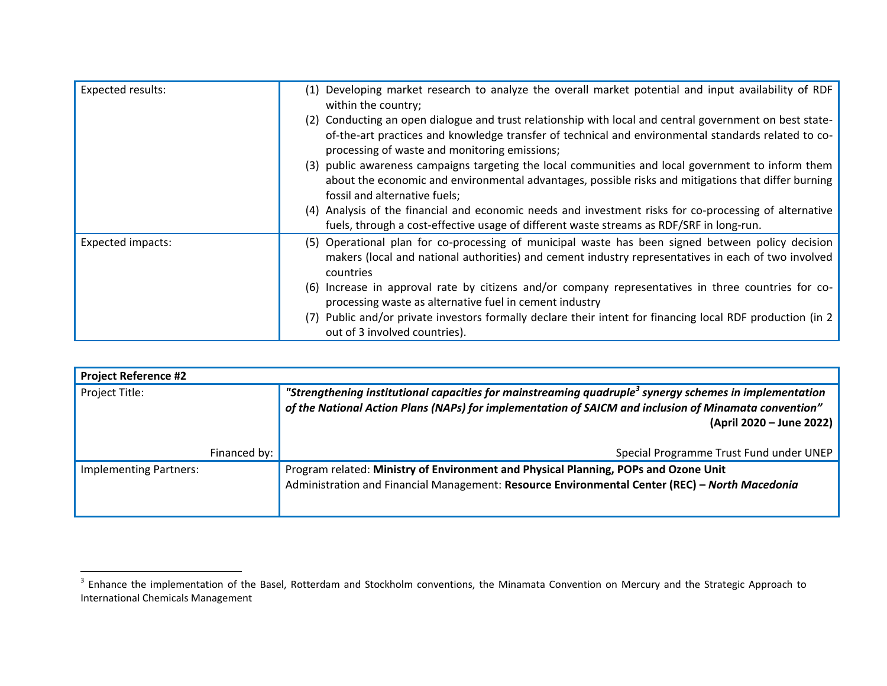| Expected results: | (1) Developing market research to analyze the overall market potential and input availability of RDF<br>within the country;                                                                                                                                     |
|-------------------|-----------------------------------------------------------------------------------------------------------------------------------------------------------------------------------------------------------------------------------------------------------------|
|                   | (2) Conducting an open dialogue and trust relationship with local and central government on best state-<br>of-the-art practices and knowledge transfer of technical and environmental standards related to co-<br>processing of waste and monitoring emissions; |
|                   | (3) public awareness campaigns targeting the local communities and local government to inform them<br>about the economic and environmental advantages, possible risks and mitigations that differ burning<br>fossil and alternative fuels;                      |
|                   | (4) Analysis of the financial and economic needs and investment risks for co-processing of alternative<br>fuels, through a cost-effective usage of different waste streams as RDF/SRF in long-run.                                                              |
| Expected impacts: | (5) Operational plan for co-processing of municipal waste has been signed between policy decision<br>makers (local and national authorities) and cement industry representatives in each of two involved<br>countries                                           |
|                   | (6) Increase in approval rate by citizens and/or company representatives in three countries for co-<br>processing waste as alternative fuel in cement industry                                                                                                  |
|                   | (7) Public and/or private investors formally declare their intent for financing local RDF production (in 2)<br>out of 3 involved countries).                                                                                                                    |

| <b>Project Reference #2</b>   |              |                                                                                                                                                                                                                                                         |
|-------------------------------|--------------|---------------------------------------------------------------------------------------------------------------------------------------------------------------------------------------------------------------------------------------------------------|
| Project Title:                |              | "Strengthening institutional capacities for mainstreaming quadruple <sup>3</sup> synergy schemes in implementation<br>of the National Action Plans (NAPs) for implementation of SAICM and inclusion of Minamata convention"<br>(April 2020 – June 2022) |
|                               | Financed by: | Special Programme Trust Fund under UNEP                                                                                                                                                                                                                 |
| <b>Implementing Partners:</b> |              | Program related: Ministry of Environment and Physical Planning, POPs and Ozone Unit<br>Administration and Financial Management: Resource Environmental Center (REC) - North Macedonia                                                                   |

**ENFILM 2018**<br><sup>3</sup> Enhance the implementation of the Basel, Rotterdam and Stockholm conventions, the Minamata Convention on Mercury and the Strategic Approach to International Chemicals Management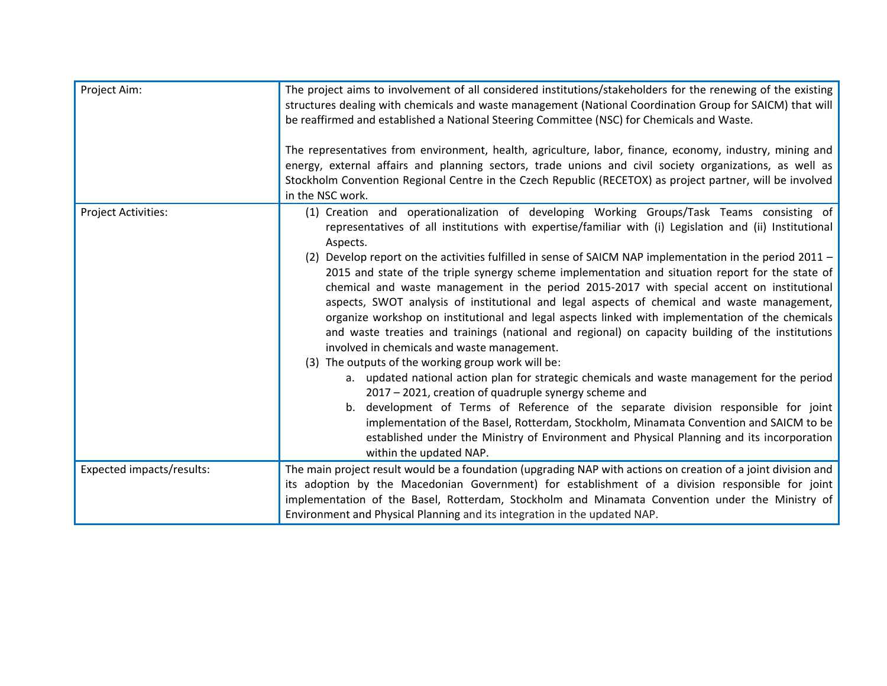| Project Aim:              | The project aims to involvement of all considered institutions/stakeholders for the renewing of the existing<br>structures dealing with chemicals and waste management (National Coordination Group for SAICM) that will<br>be reaffirmed and established a National Steering Committee (NSC) for Chemicals and Waste.<br>The representatives from environment, health, agriculture, labor, finance, economy, industry, mining and<br>energy, external affairs and planning sectors, trade unions and civil society organizations, as well as<br>Stockholm Convention Regional Centre in the Czech Republic (RECETOX) as project partner, will be involved<br>in the NSC work.                                                                                                                                                                                                                                                                                                                                                                                                                                                                                                                                                                                                                                                                                                                                 |
|---------------------------|----------------------------------------------------------------------------------------------------------------------------------------------------------------------------------------------------------------------------------------------------------------------------------------------------------------------------------------------------------------------------------------------------------------------------------------------------------------------------------------------------------------------------------------------------------------------------------------------------------------------------------------------------------------------------------------------------------------------------------------------------------------------------------------------------------------------------------------------------------------------------------------------------------------------------------------------------------------------------------------------------------------------------------------------------------------------------------------------------------------------------------------------------------------------------------------------------------------------------------------------------------------------------------------------------------------------------------------------------------------------------------------------------------------|
| Project Activities:       | (1) Creation and operationalization of developing Working Groups/Task Teams consisting of<br>representatives of all institutions with expertise/familiar with (i) Legislation and (ii) Institutional<br>Aspects.<br>(2) Develop report on the activities fulfilled in sense of SAICM NAP implementation in the period $2011 -$<br>2015 and state of the triple synergy scheme implementation and situation report for the state of<br>chemical and waste management in the period 2015-2017 with special accent on institutional<br>aspects, SWOT analysis of institutional and legal aspects of chemical and waste management,<br>organize workshop on institutional and legal aspects linked with implementation of the chemicals<br>and waste treaties and trainings (national and regional) on capacity building of the institutions<br>involved in chemicals and waste management.<br>(3) The outputs of the working group work will be:<br>a. updated national action plan for strategic chemicals and waste management for the period<br>2017 - 2021, creation of quadruple synergy scheme and<br>b. development of Terms of Reference of the separate division responsible for joint<br>implementation of the Basel, Rotterdam, Stockholm, Minamata Convention and SAICM to be<br>established under the Ministry of Environment and Physical Planning and its incorporation<br>within the updated NAP. |
| Expected impacts/results: | The main project result would be a foundation (upgrading NAP with actions on creation of a joint division and<br>its adoption by the Macedonian Government) for establishment of a division responsible for joint<br>implementation of the Basel, Rotterdam, Stockholm and Minamata Convention under the Ministry of<br>Environment and Physical Planning and its integration in the updated NAP.                                                                                                                                                                                                                                                                                                                                                                                                                                                                                                                                                                                                                                                                                                                                                                                                                                                                                                                                                                                                              |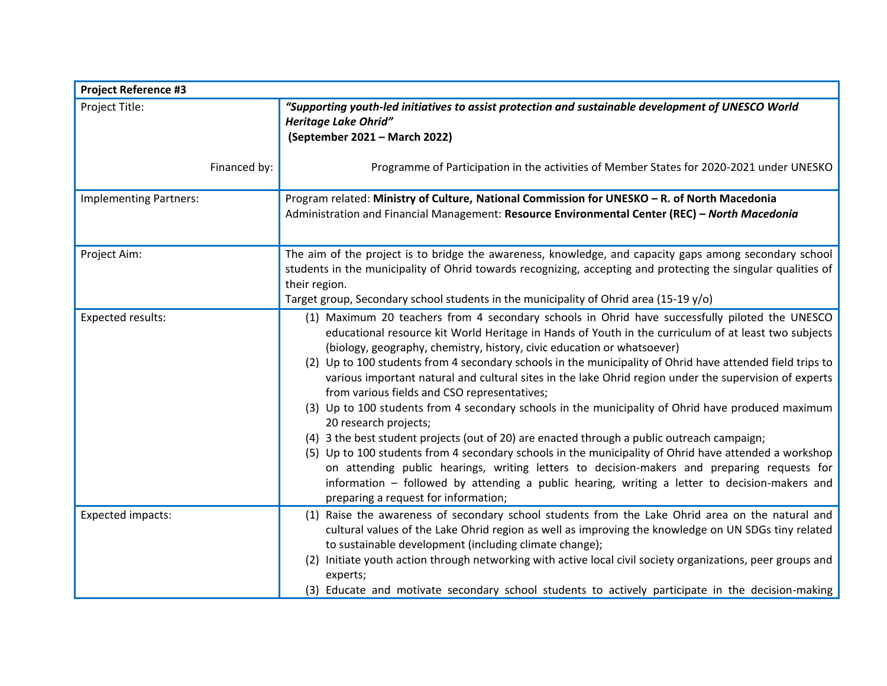| <b>Project Reference #3</b>   |                                                                                                                                                                                                                                                                                                                                                                                                                                                                                                                                                                                                                                                                                                                                                                                                                                                                                                                                                                                                                                                                                                                                         |  |
|-------------------------------|-----------------------------------------------------------------------------------------------------------------------------------------------------------------------------------------------------------------------------------------------------------------------------------------------------------------------------------------------------------------------------------------------------------------------------------------------------------------------------------------------------------------------------------------------------------------------------------------------------------------------------------------------------------------------------------------------------------------------------------------------------------------------------------------------------------------------------------------------------------------------------------------------------------------------------------------------------------------------------------------------------------------------------------------------------------------------------------------------------------------------------------------|--|
| Project Title:                | "Supporting youth-led initiatives to assist protection and sustainable development of UNESCO World<br><b>Heritage Lake Ohrid"</b><br>(September 2021 - March 2022)                                                                                                                                                                                                                                                                                                                                                                                                                                                                                                                                                                                                                                                                                                                                                                                                                                                                                                                                                                      |  |
| Financed by:                  | Programme of Participation in the activities of Member States for 2020-2021 under UNESKO                                                                                                                                                                                                                                                                                                                                                                                                                                                                                                                                                                                                                                                                                                                                                                                                                                                                                                                                                                                                                                                |  |
| <b>Implementing Partners:</b> | Program related: Ministry of Culture, National Commission for UNESKO - R. of North Macedonia<br>Administration and Financial Management: Resource Environmental Center (REC) - North Macedonia                                                                                                                                                                                                                                                                                                                                                                                                                                                                                                                                                                                                                                                                                                                                                                                                                                                                                                                                          |  |
| Project Aim:                  | The aim of the project is to bridge the awareness, knowledge, and capacity gaps among secondary school<br>students in the municipality of Ohrid towards recognizing, accepting and protecting the singular qualities of<br>their region.<br>Target group, Secondary school students in the municipality of Ohrid area (15-19 y/o)                                                                                                                                                                                                                                                                                                                                                                                                                                                                                                                                                                                                                                                                                                                                                                                                       |  |
| <b>Expected results:</b>      | (1) Maximum 20 teachers from 4 secondary schools in Ohrid have successfully piloted the UNESCO<br>educational resource kit World Heritage in Hands of Youth in the curriculum of at least two subjects<br>(biology, geography, chemistry, history, civic education or whatsoever)<br>(2) Up to 100 students from 4 secondary schools in the municipality of Ohrid have attended field trips to<br>various important natural and cultural sites in the lake Ohrid region under the supervision of experts<br>from various fields and CSO representatives;<br>(3) Up to 100 students from 4 secondary schools in the municipality of Ohrid have produced maximum<br>20 research projects;<br>(4) 3 the best student projects (out of 20) are enacted through a public outreach campaign;<br>(5) Up to 100 students from 4 secondary schools in the municipality of Ohrid have attended a workshop<br>on attending public hearings, writing letters to decision-makers and preparing requests for<br>information – followed by attending a public hearing, writing a letter to decision-makers and<br>preparing a request for information; |  |
| Expected impacts:             | (1) Raise the awareness of secondary school students from the Lake Ohrid area on the natural and<br>cultural values of the Lake Ohrid region as well as improving the knowledge on UN SDGs tiny related<br>to sustainable development (including climate change);<br>(2) Initiate youth action through networking with active local civil society organizations, peer groups and<br>experts;<br>(3) Educate and motivate secondary school students to actively participate in the decision-making                                                                                                                                                                                                                                                                                                                                                                                                                                                                                                                                                                                                                                       |  |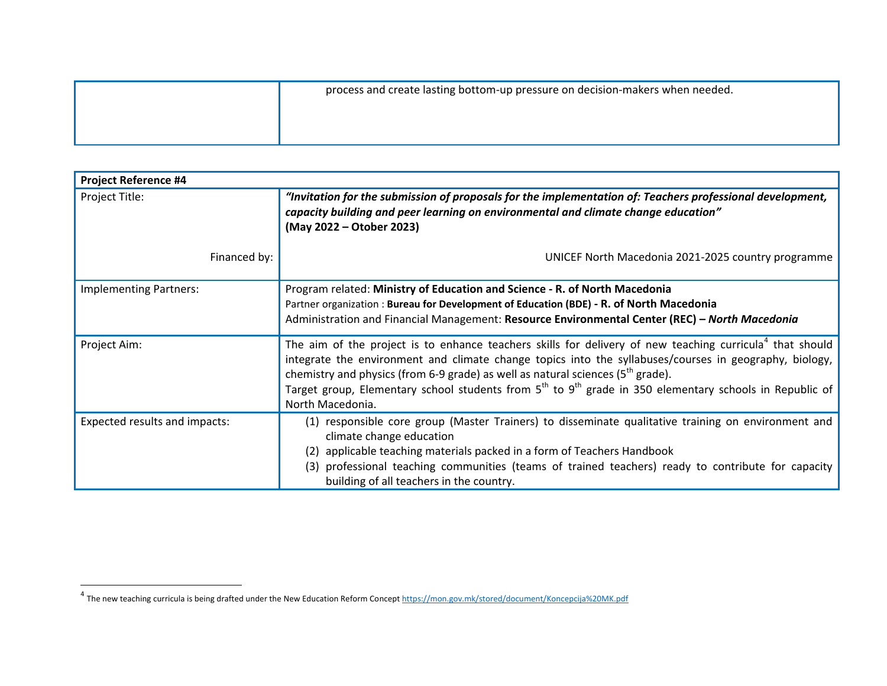| process and create lasting bottom-up pressure on decision-makers when needed. |
|-------------------------------------------------------------------------------|
|                                                                               |
|                                                                               |

| <b>Project Reference #4</b>   |                                                                                                                                                                                                                                                                                                                                                                                                                                                         |
|-------------------------------|---------------------------------------------------------------------------------------------------------------------------------------------------------------------------------------------------------------------------------------------------------------------------------------------------------------------------------------------------------------------------------------------------------------------------------------------------------|
| Project Title:                | "Invitation for the submission of proposals for the implementation of: Teachers professional development,<br>capacity building and peer learning on environmental and climate change education"<br>(May 2022 – Otober 2023)                                                                                                                                                                                                                             |
| Financed by:                  | UNICEF North Macedonia 2021-2025 country programme                                                                                                                                                                                                                                                                                                                                                                                                      |
| <b>Implementing Partners:</b> | Program related: Ministry of Education and Science - R. of North Macedonia<br>Partner organization: Bureau for Development of Education (BDE) - R. of North Macedonia<br>Administration and Financial Management: Resource Environmental Center (REC) - North Macedonia                                                                                                                                                                                 |
| Project Aim:                  | The aim of the project is to enhance teachers skills for delivery of new teaching curricula <sup>4</sup> that should<br>integrate the environment and climate change topics into the syllabuses/courses in geography, biology,<br>chemistry and physics (from 6-9 grade) as well as natural sciences ( $5th$ grade).<br>Target group, Elementary school students from $5th$ to $9th$ grade in 350 elementary schools in Republic of<br>North Macedonia. |
| Expected results and impacts: | (1) responsible core group (Master Trainers) to disseminate qualitative training on environment and<br>climate change education<br>applicable teaching materials packed in a form of Teachers Handbook<br>(3) professional teaching communities (teams of trained teachers) ready to contribute for capacity<br>building of all teachers in the country.                                                                                                |

 $\overline{\phantom{a}}$ 

and the new teaching curricula is being drafted under the New Education Reform Concept <u>https://mon.gov.mk/stored/document/Koncepcija%20MK.pdf</u><br>The new teaching curricula is being drafted under the New Education Reform Con